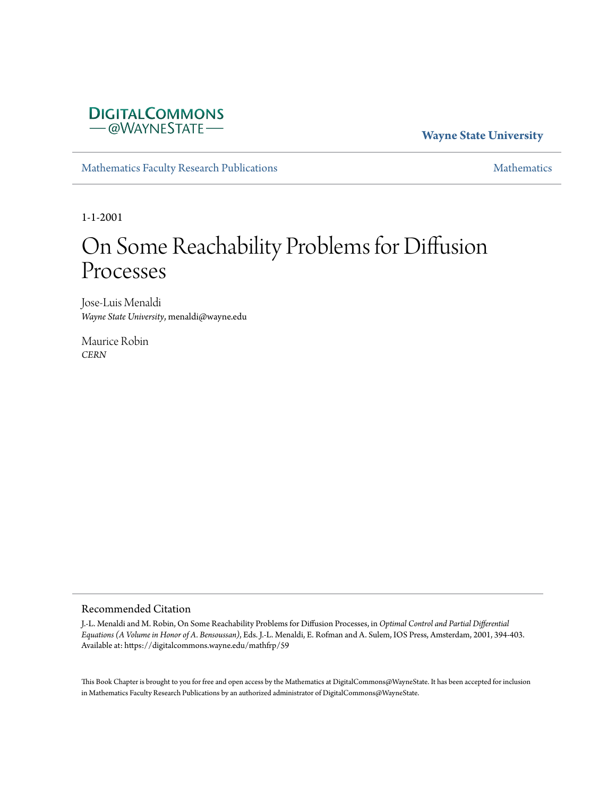

**Wayne State University**

[Mathematics Faculty Research Publications](https://digitalcommons.wayne.edu/mathfrp) **[Mathematics](https://digitalcommons.wayne.edu/math)** Mathematics

1-1-2001

# On Some Reachability Problems for Diffusion Processes

Jose-Luis Menaldi *Wayne State University*, menaldi@wayne.edu

Maurice Robin *CERN*

#### Recommended Citation

J.-L. Menaldi and M. Robin, On Some Reachability Problems for Diffusion Processes, in *Optimal Control and Partial Differential Equations (A Volume in Honor of A. Bensoussan)*, Eds. J.-L. Menaldi, E. Rofman and A. Sulem, IOS Press, Amsterdam, 2001, 394-403. Available at: https://digitalcommons.wayne.edu/mathfrp/59

This Book Chapter is brought to you for free and open access by the Mathematics at DigitalCommons@WayneState. It has been accepted for inclusion in Mathematics Faculty Research Publications by an authorized administrator of DigitalCommons@WayneState.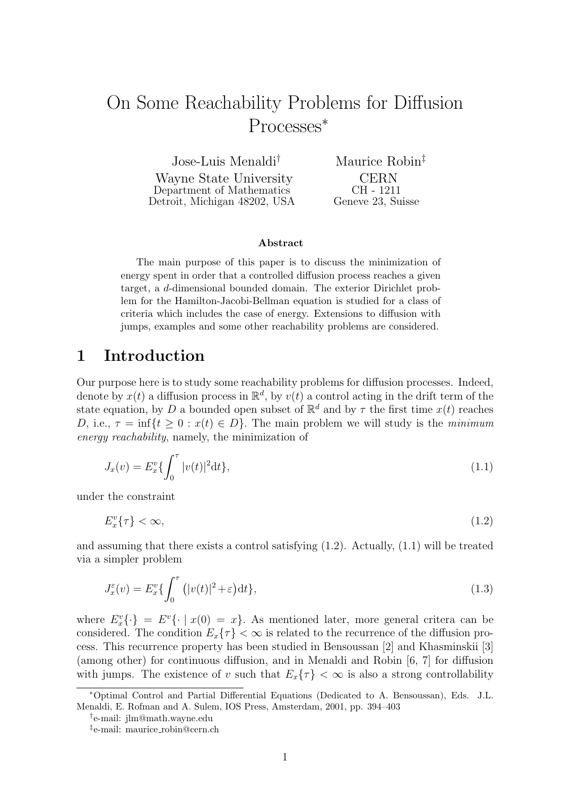# On Some Reachability Problems for Diffusion Processes*<sup>∗</sup>*

Jose-Luis Menaldi*†*

Wayne State University Department of Mathematics Detroit, Michigan 48202, USA

Maurice Robin*‡* CERN CH - 1211 Geneve 23, Suisse

#### **Abstract**

The main purpose of this paper is to discuss the minimization of energy spent in order that a controlled diffusion process reaches a given target, a *d*-dimensional bounded domain. The exterior Dirichlet problem for the Hamilton-Jacobi-Bellman equation is studied for a class of criteria which includes the case of energy. Extensions to diffusion with jumps, examples and some other reachability problems are considered.

## **1 Introduction**

Our purpose here is to study some reachability problems for diffusion processes. Indeed, denote by  $x(t)$  a diffusion process in  $\mathbb{R}^d$ , by  $v(t)$  a control acting in the drift term of the state equation, by *D* a bounded open subset of  $\mathbb{R}^d$  and by  $\tau$  the first time  $x(t)$  reaches *D*, i.e.,  $\tau = \inf\{t \geq 0 : x(t) \in D\}$ . The main problem we will study is the *minimum energy reachability*, namely, the minimization of

$$
J_x(v) = E_x^v \{ \int_0^\tau |v(t)|^2 dt \}, \tag{1.1}
$$

under the constraint

 $E_x^v{\tau} > \infty$ , (1.2)

and assuming that there exists a control satisfying (1.2). Actually, (1.1) will be treated via a simpler problem

$$
J_x^{\varepsilon}(v) = E_x^v \{ \int_0^{\tau} (|v(t)|^2 + \varepsilon) dt \}, \tag{1.3}
$$

where  $E_x^v\{\cdot\} = E^v\{\cdot \mid x(0) = x\}$ . As mentioned later, more general critera can be considered. The condition  $E_x\{\tau\} < \infty$  is related to the recurrence of the diffusion process. This recurrence property has been studied in Bensoussan [2] and Khasminskii [3] (among other) for continuous diffusion, and in Menaldi and Robin [6, 7] for diffusion with jumps. The existence of *v* such that  $E_x\{\tau\} < \infty$  is also a strong controllability

*<sup>∗</sup>*Optimal Control and Partial Differential Equations (Dedicated to A. Bensoussan), Eds. J.L. Menaldi, E. Rofman and A. Sulem, IOS Press, Amsterdam, 2001, pp. 394–403

*<sup>†</sup>* e-mail: jlm@math.wayne.edu

*<sup>‡</sup>* e-mail: maurice robin@cern.ch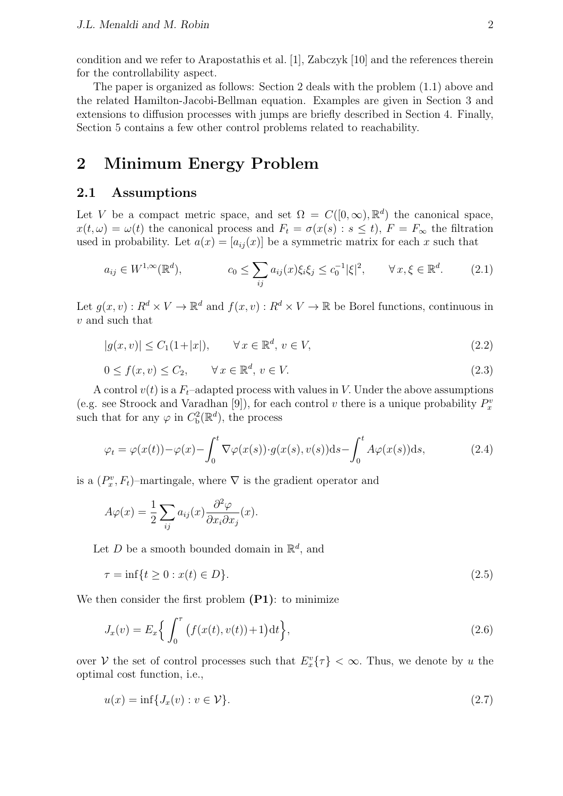condition and we refer to Arapostathis et al. [1], Zabczyk [10] and the references therein for the controllability aspect.

The paper is organized as follows: Section 2 deals with the problem (1.1) above and the related Hamilton-Jacobi-Bellman equation. Examples are given in Section 3 and extensions to diffusion processes with jumps are briefly described in Section 4. Finally, Section 5 contains a few other control problems related to reachability.

## **2 Minimum Energy Problem**

### **2.1 Assumptions**

Let *V* be a compact metric space, and set  $\Omega = C([0,\infty), \mathbb{R}^d)$  the canonical space,  $x(t, \omega) = \omega(t)$  the canonical process and  $F_t = \sigma(x(s) : s \le t)$ ,  $F = F_\infty$  the filtration used in probability. Let  $a(x) = [a_{ij}(x)]$  be a symmetric matrix for each x such that

$$
a_{ij} \in W^{1,\infty}(\mathbb{R}^d), \qquad c_0 \le \sum_{ij} a_{ij}(x)\xi_i\xi_j \le c_0^{-1}|\xi|^2, \qquad \forall x, \xi \in \mathbb{R}^d. \tag{2.1}
$$

Let  $g(x, v) : R^d \times V \to \mathbb{R}^d$  and  $f(x, v) : R^d \times V \to \mathbb{R}$  be Borel functions, continuous in *v* and such that

$$
|g(x,v)| \le C_1(1+|x|), \qquad \forall x \in \mathbb{R}^d, v \in V,
$$
\n
$$
(2.2)
$$

$$
0 \le f(x, v) \le C_2, \qquad \forall x \in \mathbb{R}^d, v \in V. \tag{2.3}
$$

A control  $v(t)$  is a  $F_t$ -adapted process with values in *V*. Under the above assumptions (e.g. see Stroock and Varadhan [9]), for each control *v* there is a unique probability  $P_x^i$ such that for any  $\varphi$  in  $C_b^2(\mathbb{R}^d)$ , the process

$$
\varphi_t = \varphi(x(t)) - \varphi(x) - \int_0^t \nabla \varphi(x(s)) \cdot g(x(s), v(s)) ds - \int_0^t A \varphi(x(s)) ds, \tag{2.4}
$$

is a  $(P_x^v, F_t)$ –martingale, where  $\nabla$  is the gradient operator and

$$
A\varphi(x) = \frac{1}{2} \sum_{ij} a_{ij}(x) \frac{\partial^2 \varphi}{\partial x_i \partial x_j}(x).
$$

Let *D* be a smooth bounded domain in  $\mathbb{R}^d$ , and

$$
\tau = \inf\{t \ge 0 : x(t) \in D\}.\tag{2.5}
$$

We then consider the first problem **(P1)**: to minimize

$$
J_x(v) = E_x \Big\{ \int_0^{\tau} \big(f(x(t), v(t)) + 1\big) \mathrm{d}t \Big\},\tag{2.6}
$$

over *V* the set of control processes such that  $E_x^v{\tau}$   $< \infty$ . Thus, we denote by *u* the optimal cost function, i.e.,

$$
u(x) = \inf\{J_x(v) : v \in \mathcal{V}\}.
$$
\n
$$
(2.7)
$$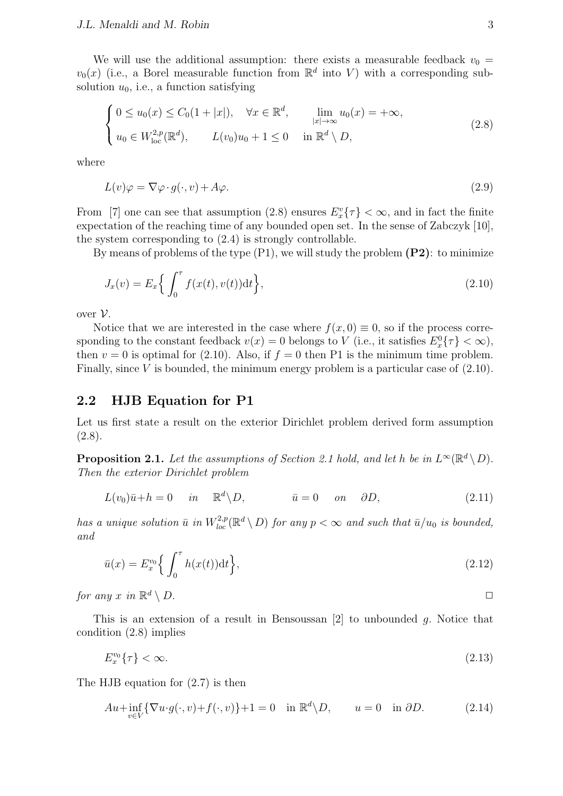We will use the additional assumption: there exists a measurable feedback  $v_0 =$  $v_0(x)$  (i.e., a Borel measurable function from  $\mathbb{R}^d$  into *V*) with a corresponding subsolution  $u_0$ , i.e., a function satisfying

$$
\begin{cases}\n0 \le u_0(x) \le C_0(1+|x|), & \forall x \in \mathbb{R}^d, \quad \lim_{|x| \to \infty} u_0(x) = +\infty, \\
u_0 \in W_{\text{loc}}^{2,p}(\mathbb{R}^d), & L(v_0)u_0 + 1 \le 0 \quad \text{in } \mathbb{R}^d \setminus D,\n\end{cases} (2.8)
$$

where

$$
L(v)\varphi = \nabla\varphi \cdot g(\cdot, v) + A\varphi. \tag{2.9}
$$

From [7] one can see that assumption (2.8) ensures  $E_x^v{\tau} > \infty$ , and in fact the finite expectation of the reaching time of any bounded open set. In the sense of Zabczyk [10], the system corresponding to (2.4) is strongly controllable.

By means of problems of the type (P1), we will study the problem **(P2)**: to minimize

$$
J_x(v) = E_x \left\{ \int_0^{\tau} f(x(t), v(t)) dt \right\},
$$
\n(2.10)

over  $V$ .

Notice that we are interested in the case where  $f(x, 0) \equiv 0$ , so if the process corresponding to the constant feedback  $v(x) = 0$  belongs to *V* (i.e., it satisfies  $E_x^0\{\tau\} < \infty$ ), then  $v = 0$  is optimal for (2.10). Also, if  $f = 0$  then P1 is the minimum time problem. Finally, since *V* is bounded, the minimum energy problem is a particular case of (2.10).

### **2.2 HJB Equation for P1**

Let us first state a result on the exterior Dirichlet problem derived form assumption (2.8).

**Proposition 2.1.** Let the assumptions of Section 2.1 hold, and let h be in  $L^{\infty}(\mathbb{R}^d \setminus D)$ . *Then the exterior Dirichlet problem*

$$
L(v_0)\bar{u} + h = 0 \quad in \quad \mathbb{R}^d \backslash D, \qquad \bar{u} = 0 \quad on \quad \partial D,
$$
\n(2.11)

*has a unique solution*  $\bar{u}$  *in*  $W_{loc}^{2,p}(\mathbb{R}^d \setminus D)$  *for any*  $p < \infty$  *and such that*  $\bar{u}/u_0$  *is bounded, and*

$$
\bar{u}(x) = E_x^{v_0} \left\{ \int_0^\tau h(x(t)) \mathrm{d}t \right\},\tag{2.12}
$$

*for any x in*  $\mathbb{R}^d \setminus D$ .  $d \setminus D.$ 

This is an extension of a result in Bensoussan [2] to unbounded *g.* Notice that condition (2.8) implies

$$
E_x^{v_0}\{\tau\} < \infty. \tag{2.13}
$$

The HJB equation for (2.7) is then

$$
Au + \inf_{v \in V} \{ \nabla u \cdot g(\cdot, v) + f(\cdot, v) \} + 1 = 0 \quad \text{in } \mathbb{R}^d \setminus D, \qquad u = 0 \quad \text{in } \partial D. \tag{2.14}
$$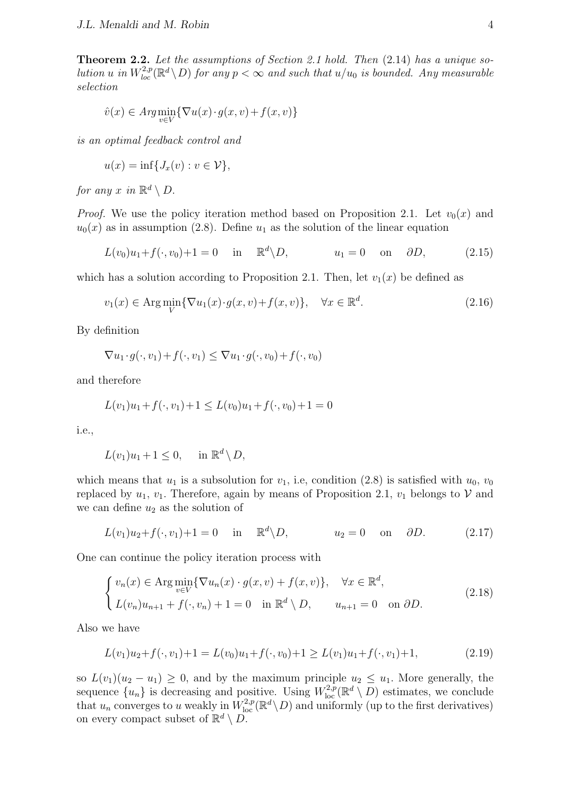**Theorem 2.2.** *Let the assumptions of Section 2.1 hold. Then* (2.14) *has a unique solution u in*  $W_{loc}^{2,p}(\mathbb{R}^d \setminus D)$  *for any*  $p < \infty$  *and such that*  $u/u_0$  *is bounded. Any measurable selection*

$$
\hat{v}(x) \in \operatorname{Arg} \min_{v \in V} \{ \nabla u(x) \cdot g(x, v) + f(x, v) \}
$$

*is an optimal feedback control and*

$$
u(x) = \inf\{J_x(v) : v \in \mathcal{V}\},\
$$

*for any x in*  $\mathbb{R}^d \setminus D$ .

*Proof.* We use the policy iteration method based on Proposition 2.1. Let  $v_0(x)$  and  $u_0(x)$  as in assumption (2.8). Define  $u_1$  as the solution of the linear equation

$$
L(v_0)u_1 + f(\cdot, v_0) + 1 = 0 \quad \text{in} \quad \mathbb{R}^d \backslash D, \qquad u_1 = 0 \quad \text{on} \quad \partial D,
$$
 (2.15)

which has a solution according to Proposition 2.1. Then, let  $v_1(x)$  be defined as

$$
v_1(x) \in \text{Arg}\min_{V} \{ \nabla u_1(x) \cdot g(x, v) + f(x, v) \}, \quad \forall x \in \mathbb{R}^d. \tag{2.16}
$$

By definition

$$
\nabla u_1 \cdot g(\cdot, v_1) + f(\cdot, v_1) \le \nabla u_1 \cdot g(\cdot, v_0) + f(\cdot, v_0)
$$

and therefore

$$
L(v_1)u_1 + f(\cdot, v_1) + 1 \le L(v_0)u_1 + f(\cdot, v_0) + 1 = 0
$$

i.e.,

$$
L(v_1)u_1 + 1 \le 0, \quad \text{in } \mathbb{R}^d \setminus D,
$$

which means that  $u_1$  is a subsolution for  $v_1$ , i.e, condition (2.8) is satisfied with  $u_0$ ,  $v_0$ replaced by  $u_1, v_1$ . Therefore, again by means of Proposition 2.1,  $v_1$  belongs to  $V$  and we can define  $u_2$  as the solution of

$$
L(v_1)u_2 + f(\cdot, v_1) + 1 = 0 \quad \text{in} \quad \mathbb{R}^d \setminus D, \qquad u_2 = 0 \quad \text{on} \quad \partial D. \tag{2.17}
$$

One can continue the policy iteration process with

$$
\begin{cases}\nv_n(x) \in \text{Arg}\min_{v \in V} \{\nabla u_n(x) \cdot g(x, v) + f(x, v)\}, & \forall x \in \mathbb{R}^d, \\
L(v_n)u_{n+1} + f(\cdot, v_n) + 1 = 0 & \text{in } \mathbb{R}^d \setminus D, \qquad u_{n+1} = 0 & \text{on } \partial D.\n\end{cases} \tag{2.18}
$$

Also we have

$$
L(v_1)u_2 + f(\cdot, v_1) + 1 = L(v_0)u_1 + f(\cdot, v_0) + 1 \ge L(v_1)u_1 + f(\cdot, v_1) + 1,
$$
\n(2.19)

so  $L(v_1)(u_2 - u_1) \geq 0$ , and by the maximum principle  $u_2 \leq u_1$ . More generally, the sequence  $\{u_n\}$  is decreasing and positive. Using  $W^{2,p}_{loc}(\mathbb{R}^d \setminus D)$  estimates, we conclude that  $u_n$  converges to *u* weakly in  $W^{2,p}_{loc}(\mathbb{R}^d \setminus D)$  and uniformly (up to the first derivatives) on every compact subset of  $\mathbb{R}^d \setminus D$ .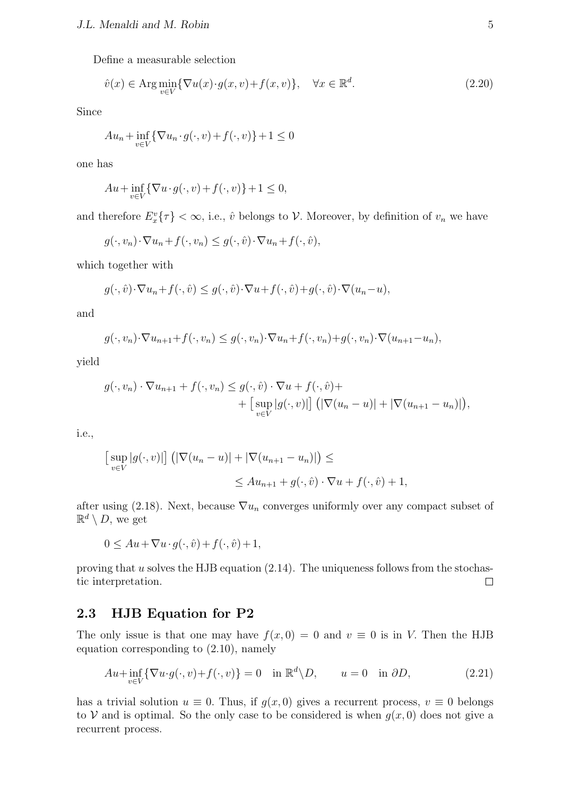Define a measurable selection

$$
\hat{v}(x) \in \text{Arg}\min_{v \in V} \{ \nabla u(x) \cdot g(x, v) + f(x, v) \}, \quad \forall x \in \mathbb{R}^d. \tag{2.20}
$$

Since

$$
Au_n + \inf_{v \in V} \{ \nabla u_n \cdot g(\cdot, v) + f(\cdot, v) \} + 1 \le 0
$$

one has

$$
Au + \inf_{v \in V} \{ \nabla u \cdot g(\cdot, v) + f(\cdot, v) \} + 1 \le 0,
$$

and therefore  $E_x^v{\tau}$   $< \infty$ , i.e.,  $\hat{v}$  belongs to *V*. Moreover, by definition of  $v_n$  we have

$$
g(\cdot, v_n) \cdot \nabla u_n + f(\cdot, v_n) \le g(\cdot, \hat{v}) \cdot \nabla u_n + f(\cdot, \hat{v}),
$$

which together with

$$
g(\cdot,\hat{v})\cdot\nabla u_n + f(\cdot,\hat{v}) \le g(\cdot,\hat{v})\cdot\nabla u + f(\cdot,\hat{v}) + g(\cdot,\hat{v})\cdot\nabla(u_n - u),
$$

and

$$
g(\cdot, v_n) \cdot \nabla u_{n+1} + f(\cdot, v_n) \le g(\cdot, v_n) \cdot \nabla u_n + f(\cdot, v_n) + g(\cdot, v_n) \cdot \nabla (u_{n+1} - u_n),
$$

yield

$$
g(\cdot, v_n) \cdot \nabla u_{n+1} + f(\cdot, v_n) \leq g(\cdot, \hat{v}) \cdot \nabla u + f(\cdot, \hat{v}) + \left[ \sup_{v \in V} |g(\cdot, v)| \right] \left( |\nabla (u_n - u)| + |\nabla (u_{n+1} - u_n)| \right),
$$

i.e.,

$$
\begin{aligned} \left[\sup_{v \in V} |g(\cdot, v)|\right] \left( |\nabla (u_n - u)| + |\nabla (u_{n+1} - u_n)| \right) &\leq \\ &\leq Au_{n+1} + g(\cdot, \hat{v}) \cdot \nabla u + f(\cdot, \hat{v}) + 1, \end{aligned}
$$

after using (2.18). Next, because  $\nabla u_n$  converges uniformly over any compact subset of  $\mathbb{R}^d \setminus D$ , we get

$$
0 \le Au + \nabla u \cdot g(\cdot, \hat{v}) + f(\cdot, \hat{v}) + 1,
$$

proving that *u* solves the HJB equation (2.14). The uniqueness follows from the stochastic interpretation.  $\Box$ 

## **2.3 HJB Equation for P2**

The only issue is that one may have  $f(x, 0) = 0$  and  $v \equiv 0$  is in *V*. Then the HJB equation corresponding to (2.10), namely

$$
Au + \inf_{v \in V} \{ \nabla u \cdot g(\cdot, v) + f(\cdot, v) \} = 0 \quad \text{in } \mathbb{R}^d \setminus D, \qquad u = 0 \quad \text{in } \partial D,
$$
 (2.21)

has a trivial solution  $u \equiv 0$ . Thus, if  $g(x, 0)$  gives a recurrent process,  $v \equiv 0$  belongs to *V* and is optimal. So the only case to be considered is when  $g(x, 0)$  does not give a recurrent process.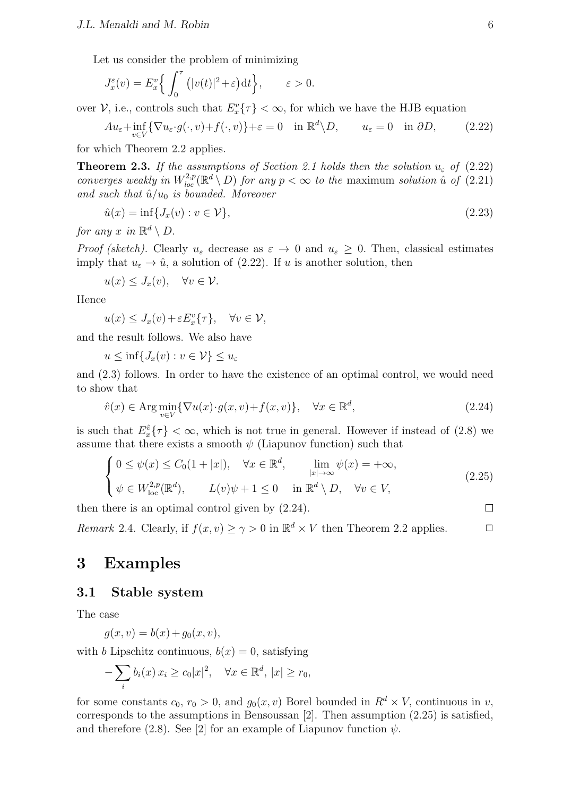Let us consider the problem of minimizing

$$
J_x^{\varepsilon}(v) = E_x^v \left\{ \int_0^{\tau} (|v(t)|^2 + \varepsilon) dt \right\}, \qquad \varepsilon > 0.
$$

over *V*, i.e., controls such that  $E_x^v{\tau}$   $< \infty$ , for which we have the HJB equation

$$
Au_{\varepsilon} + \inf_{v \in V} \{ \nabla u_{\varepsilon} \cdot g(\cdot, v) + f(\cdot, v) \} + \varepsilon = 0 \quad \text{in } \mathbb{R}^d \setminus D, \qquad u_{\varepsilon} = 0 \quad \text{in } \partial D,
$$
 (2.22)

for which Theorem 2.2 applies.

**Theorem 2.3.** If the assumptions of Section 2.1 holds then the solution  $u_{\varepsilon}$  of (2.22) *converges weakly in*  $W^{2,p}_{loc}(\mathbb{R}^d \setminus D)$  *for any*  $p < \infty$  *to the* maximum *solution*  $\hat{u}$  *of* (2.21) *and such that*  $\hat{u}/u_0$  *is bounded. Moreover* 

$$
\hat{u}(x) = \inf\{J_x(v) : v \in \mathcal{V}\},\tag{2.23}
$$

*for any x in*  $\mathbb{R}^d \setminus D$ .

*Proof (sketch).* Clearly  $u_{\varepsilon}$  decrease as  $\varepsilon \to 0$  and  $u_{\varepsilon} \geq 0$ . Then, classical estimates imply that  $u_{\varepsilon} \to \hat{u}$ , a solution of (2.22). If *u* is another solution, then

$$
u(x) \leq J_x(v), \quad \forall v \in \mathcal{V}.
$$

Hence

$$
u(x) \le J_x(v) + \varepsilon E_x^v\{\tau\}, \quad \forall v \in \mathcal{V},
$$

and the result follows. We also have

 $u \leq \inf\{J_x(v): v \in \mathcal{V}\} \leq u_\varepsilon$ 

and (2.3) follows. In order to have the existence of an optimal control, we would need to show that

$$
\hat{v}(x) \in \text{Arg} \min_{v \in V} \{ \nabla u(x) \cdot g(x, v) + f(x, v) \}, \quad \forall x \in \mathbb{R}^d,
$$
\n(2.24)

is such that  $E_x^{\hat{v}}\{\tau\} < \infty$ , which is not true in general. However if instead of (2.8) we assume that there exists a smooth  $\psi$  (Liapunov function) such that

$$
\begin{cases}\n0 \leq \psi(x) \leq C_0(1+|x|), & \forall x \in \mathbb{R}^d, \qquad \lim_{|x| \to \infty} \psi(x) = +\infty, \\
\psi \in W^{2,p}_{\text{loc}}(\mathbb{R}^d), & L(v)\psi + 1 \leq 0 \qquad \text{in } \mathbb{R}^d \setminus D, \quad \forall v \in V,\n\end{cases}
$$
\n(2.25)

then there is an optimal control given by (2.24).

*Remark* 2.4. Clearly, if  $f(x, v) \ge \gamma > 0$  in  $\mathbb{R}^d \times V$  then Theorem 2.2 applies.  $\Box$ 

## **3 Examples**

#### **3.1 Stable system**

The case

 $q(x, v) = b(x) + q_0(x, v)$ ,

with *b* Lipschitz continuous,  $b(x) = 0$ , satisfying

$$
-\sum_{i} b_i(x) x_i \ge c_0 |x|^2, \quad \forall x \in \mathbb{R}^d, |x| \ge r_0,
$$

for some constants  $c_0$ ,  $r_0 > 0$ , and  $g_0(x, v)$  Borel bounded in  $R^d \times V$ , continuous in *v*, corresponds to the assumptions in Bensoussan [2]. Then assumption (2.25) is satisfied, and therefore (2.8). See [2] for an example of Liapunov function  $\psi$ .

 $\Box$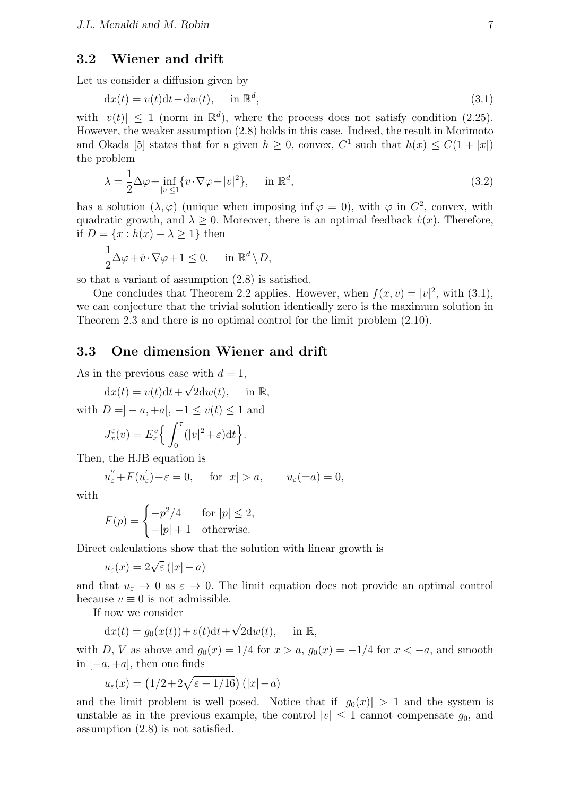#### **3.2 Wiener and drift**

Let us consider a diffusion given by

$$
dx(t) = v(t)dt + dw(t), \quad \text{in } \mathbb{R}^d,
$$
\n(3.1)

with  $|v(t)| \leq 1$  (norm in  $\mathbb{R}^d$ ), where the process does not satisfy condition (2.25). However, the weaker assumption (2.8) holds in this case. Indeed, the result in Morimoto and Okada [5] states that for a given  $h \geq 0$ , convex,  $C^1$  such that  $h(x) \leq C(1+|x|)$ the problem

$$
\lambda = \frac{1}{2}\Delta\varphi + \inf_{|v| \le 1} \{v \cdot \nabla\varphi + |v|^2\}, \quad \text{in } \mathbb{R}^d,
$$
\n(3.2)

has a solution  $(\lambda, \varphi)$  (unique when imposing inf  $\varphi = 0$ ), with  $\varphi$  in  $C^2$ , convex, with quadratic growth, and  $\lambda \geq 0$ . Moreover, there is an optimal feedback  $\hat{v}(x)$ . Therefore, if  $D = \{x : h(x) - \lambda \geq 1\}$  then

$$
\frac{1}{2}\Delta\varphi + \hat{v}\cdot\nabla\varphi + 1 \le 0, \quad \text{in } \mathbb{R}^d \setminus D,
$$

so that a variant of assumption (2.8) is satisfied.

One concludes that Theorem 2.2 applies. However, when  $f(x, v) = |v|^2$ , with (3.1), we can conjecture that the trivial solution identically zero is the maximum solution in Theorem 2.3 and there is no optimal control for the limit problem (2.10).

### **3.3 One dimension Wiener and drift**

As in the previous case with  $d = 1$ , *√*

 $dx(t) = v(t)dt +$  $2dw(t)$ , in R, with  $D = ] - a, +a[, -1 \le v(t) \le 1$  and  $J_x^{\varepsilon}(v) = E_x^v$ { ∫ *<sup>τ</sup>* 0  $(|v|^2 + \varepsilon) dt$ .

Then, the HJB equation is

$$
u''_{\varepsilon} + F(u'_{\varepsilon}) + \varepsilon = 0
$$
, for  $|x| > a$ ,  $u_{\varepsilon}(\pm a) = 0$ ,

with

$$
F(p) = \begin{cases} -p^2/4 & \text{for } |p| \le 2, \\ -|p|+1 & \text{otherwise.} \end{cases}
$$

Direct calculations show that the solution with linear growth is

$$
u_{\varepsilon}(x) = 2\sqrt{\varepsilon} (|x| - a)
$$

and that  $u_{\varepsilon} \to 0$  as  $\varepsilon \to 0$ . The limit equation does not provide an optimal control because  $v \equiv 0$  is not admissible.

If now we consider

$$
dx(t) = g_0(x(t)) + v(t)dt + \sqrt{2}dw(t), \quad \text{in } \mathbb{R},
$$

with *D*, *V* as above and  $g_0(x) = 1/4$  for  $x > a$ ,  $g_0(x) = -1/4$  for  $x < -a$ , and smooth in [*−a,* +*a*]*,* then one finds

$$
u_{\varepsilon}(x) = \left(1/2 + 2\sqrt{\varepsilon + 1/16}\right) \left(|x| - a\right)
$$

and the limit problem is well posed. Notice that if  $|g_0(x)| > 1$  and the system is unstable as in the previous example, the control  $|v| \leq 1$  cannot compensate  $g_0$ , and assumption (2.8) is not satisfied.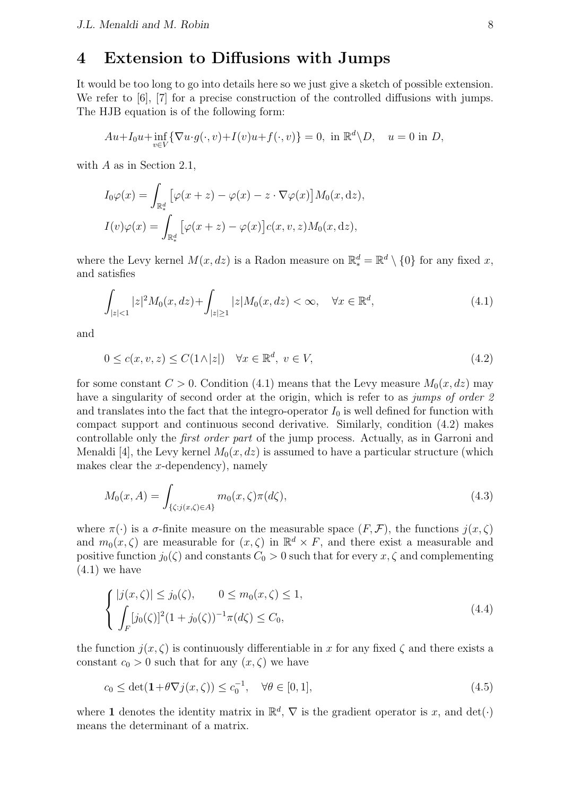## **4 Extension to Diffusions with Jumps**

It would be too long to go into details here so we just give a sketch of possible extension. We refer to [6], [7] for a precise construction of the controlled diffusions with jumps. The HJB equation is of the following form:

$$
Au+I_0u+\inf_{v\in V}\{\nabla u\cdot g(\cdot,v)+I(v)u+f(\cdot,v)\}=0, \text{ in } \mathbb{R}^d\backslash D, \quad u=0 \text{ in } D,
$$

with *A* as in Section 2.1,

$$
I_0\varphi(x) = \int_{\mathbb{R}^d_*} \left[ \varphi(x+z) - \varphi(x) - z \cdot \nabla \varphi(x) \right] M_0(x, dz),
$$
  

$$
I(v)\varphi(x) = \int_{\mathbb{R}^d_*} \left[ \varphi(x+z) - \varphi(x) \right] c(x, v, z) M_0(x, dz),
$$

where the Levy kernel  $M(x, dz)$  is a Radon measure on  $\mathbb{R}^d_* = \mathbb{R}^d \setminus \{0\}$  for any fixed x, and satisfies

$$
\int_{|z| < 1} |z|^2 M_0(x, dz) + \int_{|z| \ge 1} |z| M_0(x, dz) < \infty, \quad \forall x \in \mathbb{R}^d,\tag{4.1}
$$

and

$$
0 \le c(x, v, z) \le C(1 \land |z|) \quad \forall x \in \mathbb{R}^d, \ v \in V,
$$
\n
$$
(4.2)
$$

for some constant  $C > 0$ . Condition (4.1) means that the Levy measure  $M_0(x, dz)$  may have a singularity of second order at the origin, which is refer to as *jumps of order 2* and translates into the fact that the integro-operator  $I_0$  is well defined for function with compact support and continuous second derivative. Similarly, condition (4.2) makes controllable only the *first order part* of the jump process. Actually, as in Garroni and Menaldi [4], the Levy kernel  $M_0(x, dz)$  is assumed to have a particular structure (which makes clear the *x*-dependency), namely

$$
M_0(x, A) = \int_{\{\zeta : j(x, \zeta) \in A\}} m_0(x, \zeta) \pi(d\zeta), \tag{4.3}
$$

where  $\pi(\cdot)$  is a  $\sigma$ -finite measure on the measurable space  $(F, \mathcal{F})$ , the functions  $j(x, \zeta)$ and  $m_0(x,\zeta)$  are measurable for  $(x,\zeta)$  in  $\mathbb{R}^d \times F$ , and there exist a measurable and positive function  $j_0(\zeta)$  and constants  $C_0 > 0$  such that for every  $x, \zeta$  and complementing  $(4.1)$  we have

$$
\begin{cases} |j(x,\zeta)| \le j_0(\zeta), & 0 \le m_0(x,\zeta) \le 1, \\ \int_F [j_0(\zeta)]^2 (1+j_0(\zeta))^{-1} \pi(d\zeta) \le C_0, \end{cases}
$$
\n(4.4)

the function  $j(x, \zeta)$  is continuously differentiable in x for any fixed  $\zeta$  and there exists a constant  $c_0 > 0$  such that for any  $(x, \zeta)$  we have

$$
c_0 \le \det(\mathbf{1} + \theta \nabla j(x, \zeta)) \le c_0^{-1}, \quad \forall \theta \in [0, 1], \tag{4.5}
$$

where **1** denotes the identity matrix in  $\mathbb{R}^d$ ,  $\nabla$  is the gradient operator is *x*, and det(*·*) means the determinant of a matrix.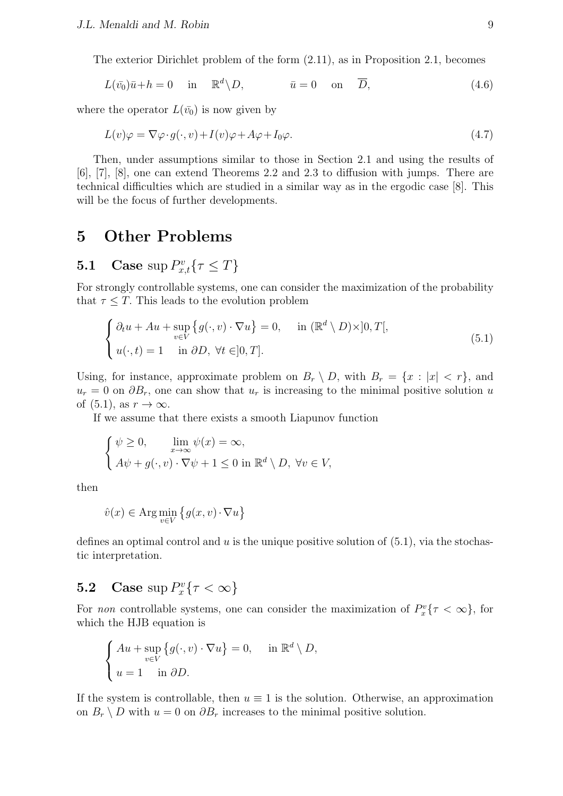The exterior Dirichlet problem of the form (2.11), as in Proposition 2.1, becomes

$$
L(\bar{v_0})\bar{u} + h = 0 \quad \text{in} \quad \mathbb{R}^d \backslash D, \qquad \bar{u} = 0 \quad \text{on} \quad \overline{D}, \tag{4.6}
$$

where the operator  $L(\bar{v}_0)$  is now given by

$$
L(v)\varphi = \nabla\varphi \cdot g(\cdot, v) + I(v)\varphi + A\varphi + I_0\varphi.
$$
\n(4.7)

Then, under assumptions similar to those in Section 2.1 and using the results of [6], [7], [8], one can extend Theorems 2.2 and 2.3 to diffusion with jumps. There are technical difficulties which are studied in a similar way as in the ergodic case [8]. This will be the focus of further developments.

## **5 Other Problems**

# **5.1** Case  $\sup P_{x,t}^v\{\tau \leq T\}$

For strongly controllable systems, one can consider the maximization of the probability that  $\tau \leq T$ . This leads to the evolution problem

$$
\begin{cases} \partial_t u + Au + \sup_{v \in V} \{ g(\cdot, v) \cdot \nabla u \} = 0, & \text{in } (\mathbb{R}^d \setminus D) \times ]0, T[, \\ u(\cdot, t) = 1 & \text{in } \partial D, \ \forall t \in ]0, T]. \end{cases}
$$
 (5.1)

Using, for instance, approximate problem on  $B_r \setminus D$ , with  $B_r = \{x : |x| < r\}$ , and  $u_r = 0$  on  $\partial B_r$ , one can show that  $u_r$  is increasing to the minimal positive solution *u* of  $(5.1)$ , as  $r \to \infty$ .

If we assume that there exists a smooth Liapunov function

$$
\begin{cases} \psi \ge 0, & \lim_{x \to \infty} \psi(x) = \infty, \\ A\psi + g(\cdot, v) \cdot \nabla \psi + 1 \le 0 \text{ in } \mathbb{R}^d \setminus D, \ \forall v \in V, \end{cases}
$$

then

$$
\hat{v}(x) \in \operatorname{Arg} \min_{v \in V} \left\{ g(x, v) \cdot \nabla u \right\}
$$

defines an optimal control and *u* is the unique positive solution of (5.1), via the stochastic interpretation.

# **5.2** Case  $\sup P_x^v \{ \tau < \infty \}$

For *non* controllable systems, one can consider the maximization of  $P_x^v{\tau < \infty}$ , for which the HJB equation is

$$
\begin{cases}\nAu + \sup_{v \in V} \{g(\cdot, v) \cdot \nabla u\} = 0, & \text{in } \mathbb{R}^d \setminus D, \\
u = 1 \quad \text{in } \partial D.\n\end{cases}
$$

If the system is controllable, then  $u \equiv 1$  is the solution. Otherwise, an approximation on  $B_r \setminus D$  with  $u = 0$  on  $\partial B_r$  increases to the minimal positive solution.